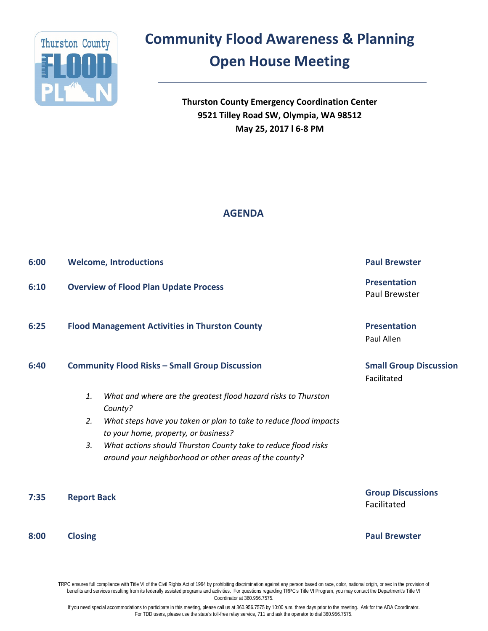

## **Community Flood Awareness & Planning**

## **Open House Meeting**

**Thurston County Emergency Coordination Center 9521 Tilley Road SW, Olympia, WA 98512 May 25, 2017 l 6-8 PM**

### **AGENDA**

| 6:00 | <b>Welcome, Introductions</b>                                                                                                                                                                                                                                                                                                        | <b>Paul Brewster</b>                         |
|------|--------------------------------------------------------------------------------------------------------------------------------------------------------------------------------------------------------------------------------------------------------------------------------------------------------------------------------------|----------------------------------------------|
| 6:10 | <b>Overview of Flood Plan Update Process</b>                                                                                                                                                                                                                                                                                         | <b>Presentation</b><br>Paul Brewster         |
| 6:25 | <b>Flood Management Activities in Thurston County</b>                                                                                                                                                                                                                                                                                | <b>Presentation</b><br>Paul Allen            |
| 6:40 | <b>Community Flood Risks - Small Group Discussion</b>                                                                                                                                                                                                                                                                                | <b>Small Group Discussion</b><br>Facilitated |
|      | What and where are the greatest flood hazard risks to Thurston<br>1.<br>County?<br>What steps have you taken or plan to take to reduce flood impacts<br>2.<br>to your home, property, or business?<br>What actions should Thurston County take to reduce flood risks<br>3.<br>around your neighborhood or other areas of the county? |                                              |
| 7:35 | <b>Report Back</b>                                                                                                                                                                                                                                                                                                                   | <b>Group Discussions</b><br>Facilitated      |
| 8:00 | <b>Closing</b>                                                                                                                                                                                                                                                                                                                       | <b>Paul Brewster</b>                         |

TRPC ensures full compliance with Title VI of the Civil Rights Act of 1964 by prohibiting discrimination against any person based on race, color, national origin, or sex in the provision of benefits and services resulting from its federally assisted programs and activities. For questions regarding TRPC's Title VI Program, you may contact the Department's Title VI Coordinator at 360.956.7575.

If you need special accommodations to participate in this meeting, please call us at 360.956.7575 by 10:00 a.m. three days prior to the meeting. Ask for the ADA Coordinator. For TDD users, please use the state's toll-free relay service, 711 and ask the operator to dial 360.956.7575.